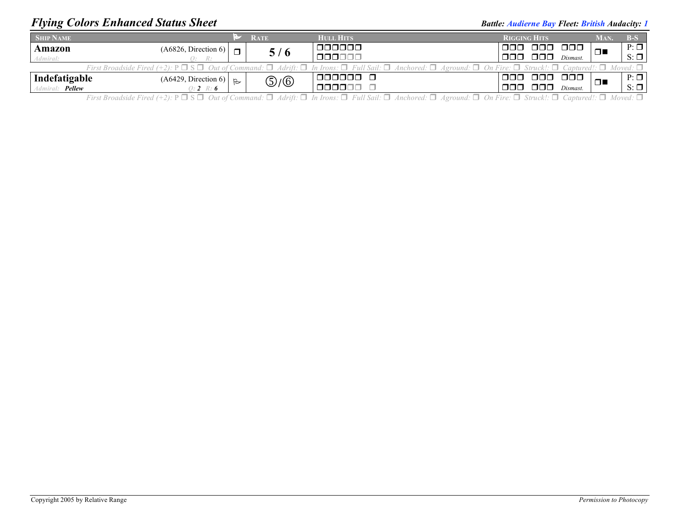## *Flying Colors Enhanced Status Sheet Battle: Audience Bay Fleet: British Audacity: 1**Battle: Audience Bay Fleet: British Audacity: 1*

| <b>SHIP NAME</b>                                                                                                                                                                                                      |                      |                | <b>RATE</b> | <b>HULL HITS</b> | <b>RIGGING HITS</b> |          |               | MAN.      | $B-S$     |  |  |
|-----------------------------------------------------------------------------------------------------------------------------------------------------------------------------------------------------------------------|----------------------|----------------|-------------|------------------|---------------------|----------|---------------|-----------|-----------|--|--|
| Amazon                                                                                                                                                                                                                | (A6826, Direction 6) | $\blacksquare$ | 5/6         | 000000           | 000                 | 000 000  |               | Ω.        | $P: \Box$ |  |  |
| Admiral:                                                                                                                                                                                                              | $R^+$<br>.           |                |             | 000000           | 000-                | 000      | Dismast.      |           | $S: \Box$ |  |  |
| First Broadside Fired (+2): $P \Box S \Box$ Out of Command: $\Box$ Adrift: $\Box$ In Irons: $\Box$ Full Sail: $\Box$ Anchored: $\Box$ Aground: $\Box$ On Fire: $\Box$ Struck!: $\Box$ Captured!: $\Box$ Moved: $\Box$ |                      |                |             |                  |                     |          |               |           |           |  |  |
| Indefatigable                                                                                                                                                                                                         | (A6429, Direction 6) |                | டு/டு       | 000000 0         | $\Box$ $\Box$       | 000      | $\Box$ $\Box$ | ⊓⊾        | $P: \Box$ |  |  |
| Admiral: <b>Pellew</b>                                                                                                                                                                                                | $0: 2 \, R: 6$       |                | 000000      | $\Box \Box \Box$ | 000                 | Dismast. |               | $S: \Box$ |           |  |  |

First Broadside Fired (+2):  $P \Box S \Box$  Out of Command:  $\Box$  Adrift:  $\Box$  In Irons:  $\Box$  Full Sail:  $\Box$  Anchored:  $\Box$  Aground:  $\Box$  On Fire:  $\Box$  Struck!:  $\Box$  Captured!:  $\Box$  Moved:  $\Box$